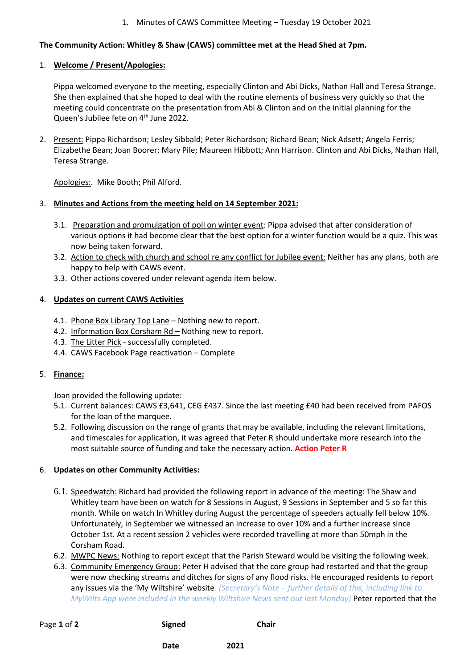#### 1. Minutes of CAWS Committee Meeting – Tuesday 19 October 2021

# **The Community Action: Whitley & Shaw (CAWS) committee met at the Head Shed at 7pm.**

#### 1. **Welcome / Present/Apologies:**

Pippa welcomed everyone to the meeting, especially Clinton and Abi Dicks, Nathan Hall and Teresa Strange. She then explained that she hoped to deal with the routine elements of business very quickly so that the meeting could concentrate on the presentation from Abi & Clinton and on the initial planning for the Queen's Jubilee fete on 4<sup>th</sup> June 2022.

2. Present: Pippa Richardson; Lesley Sibbald; Peter Richardson; Richard Bean; Nick Adsett; Angela Ferris; Elizabethe Bean; Joan Boorer; Mary Pile; Maureen Hibbott; Ann Harrison. Clinton and Abi Dicks, Nathan Hall, Teresa Strange.

Apologies:. Mike Booth; Phil Alford.

#### 3. **Minutes and Actions from the meeting held on 14 September 2021:**

- 3.1. Preparation and promulgation of poll on winter event: Pippa advised that after consideration of various options it had become clear that the best option for a winter function would be a quiz. This was now being taken forward.
- 3.2. Action to check with church and school re any conflict for Jubilee event: Neither has any plans, both are happy to help with CAWS event.
- 3.3. Other actions covered under relevant agenda item below.

### 4. **Updates on current CAWS Activities**

- 4.1. Phone Box Library Top Lane Nothing new to report.
- 4.2. Information Box Corsham Rd Nothing new to report.
- 4.3. The Litter Pick successfully completed.
- 4.4. CAWS Facebook Page reactivation Complete

# 5. **Finance:**

Joan provided the following update:

- 5.1. Current balances: CAWS £3,641, CEG £437. Since the last meeting £40 had been received from PAFOS for the loan of the marquee.
- 5.2. Following discussion on the range of grants that may be available, including the relevant limitations, and timescales for application, it was agreed that Peter R should undertake more research into the most suitable source of funding and take the necessary action. **Action Peter R**

# 6. **Updates on other Community Activities:**

- 6.1. Speedwatch: Richard had provided the following report in advance of the meeting: The Shaw and Whitley team have been on watch for 8 Sessions in August, 9 Sessions in September and 5 so far this month. While on watch In Whitley during August the percentage of speeders actually fell below 10%. Unfortunately, in September we witnessed an increase to over 10% and a further increase since October 1st. At a recent session 2 vehicles were recorded travelling at more than 50mph in the Corsham Road.
- 6.2. MWPC News: Nothing to report except that the Parish Steward would be visiting the following week.
- 6.3. Community Emergency Group: Peter H advised that the core group had restarted and that the group were now checking streams and ditches for signs of any flood risks. He encouraged residents to report any issues via the 'My Wiltshire' website. *(Secretary's Note – further details of this, including link to MyWilts App were included in the weekly Wiltshire News sent out last Monday)* Peter reported that the

| Page 1 of 2 | <b>Signed</b> | <b>Chair</b> |
|-------------|---------------|--------------|
|             | Date          | 2021         |